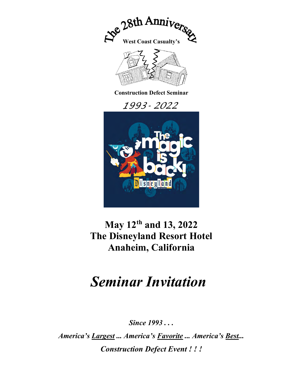

## May 12th and 13, 2022 The Disneyland Resort Hotel Anaheim, California

# Seminar Invitation

Since 1993...

America's Largest ... America's Favorite ... America's Best... Construction Defect Event ! ! !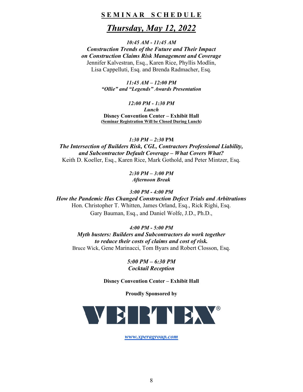### SEMINAR SCHEDULE

### Thursday, May 12, 2022

10:45 AM - 11:45 AM Construction Trends of the Future and Their Impact on Construction Claims Risk Management and Coverage Jennifer Kalvestran, Esq., Karen Rice, Phyllis Modlin, Lisa Cappelluti, Esq. and Brenda Radmacher, Esq.

> 11:45 AM – 12:00 PM "Ollie" and "Legends" Awards Presentation

12:00 PM - 1:30 PM Lunch Disney Convention Center – Exhibit Hall (Seminar Registration Will be Closed During Lunch)

1:30 PM – 2:30 PM The Intersection of Builders Risk, CGL, Contractors Professional Liability, and Subcontractor Default Coverage – What Covers What? Keith D. Koeller, Esq., Karen Rice, Mark Gothold, and Peter Mintzer, Esq.

> 2:30 PM – 3:00 PM Afternoon Break

3:00 PM - 4:00 PM

How the Pandemic Has Changed Construction Defect Trials and Arbitrations Hon. Christopher T. Whitten, James Orland, Esq., Rick Righi, Esq. Gary Bauman, Esq., and Daniel Wolfe, J.D., Ph.D.,

4:00 PM - 5:00 PM Myth busters: Builders and Subcontractors do work together to reduce their costs of claims and cost of risk. Bruce Wick, Gene Marinacci, Tom Byars and Robert Closson, Esq.

> 5:00 PM – 6:30 PM Cocktail Reception

Disney Convention Center – Exhibit Hall

Proudly Sponsored by



www.xperagroup.com